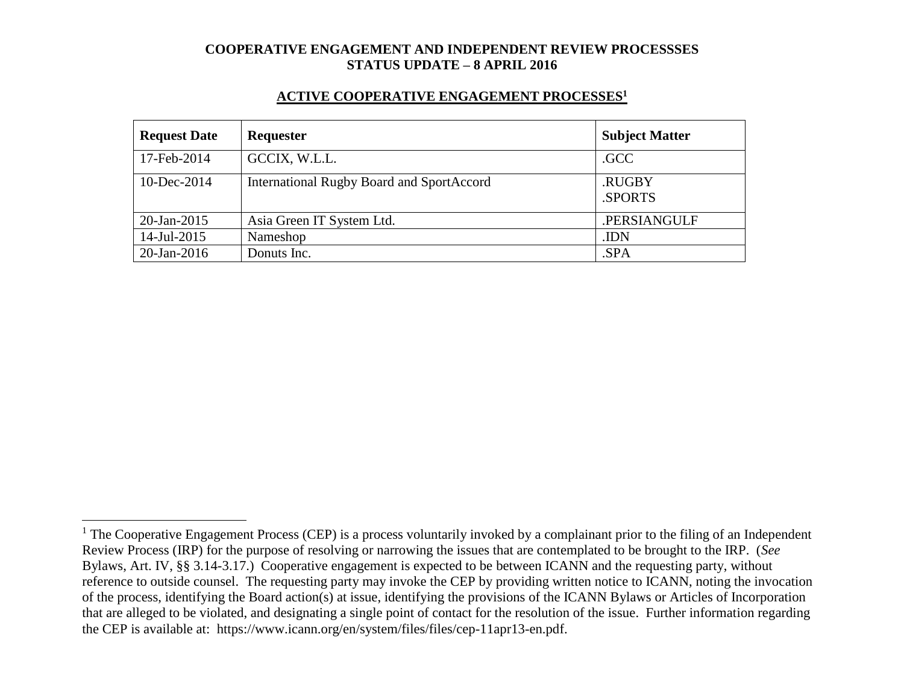#### **ACTIVE COOPERATIVE ENGAGEMENT PROCESSES<sup>1</sup>**

| <b>Request Date</b> | <b>Requester</b>                          | <b>Subject Matter</b> |
|---------------------|-------------------------------------------|-----------------------|
| 17-Feb-2014         | GCCIX, W.L.L.                             | .GCC                  |
| 10-Dec-2014         | International Rugby Board and SportAccord | .RUGBY<br>.SPORTS     |
| 20-Jan-2015         | Asia Green IT System Ltd.                 | .PERSIANGULF          |
| 14-Jul-2015         | Nameshop                                  | .IDN                  |
| $20$ -Jan-2016      | Donuts Inc.                               | .SPA                  |

 $\overline{a}$ 

 $1$  The Cooperative Engagement Process (CEP) is a process voluntarily invoked by a complainant prior to the filing of an Independent Review Process (IRP) for the purpose of resolving or narrowing the issues that are contemplated to be brought to the IRP. (*See* Bylaws, Art. IV, §§ 3.14-3.17.) Cooperative engagement is expected to be between ICANN and the requesting party, without reference to outside counsel. The requesting party may invoke the CEP by providing written notice to ICANN, noting the invocation of the process, identifying the Board action(s) at issue, identifying the provisions of the ICANN Bylaws or Articles of Incorporation that are alleged to be violated, and designating a single point of contact for the resolution of the issue. Further information regarding the CEP is available at: https://www.icann.org/en/system/files/files/cep-11apr13-en.pdf.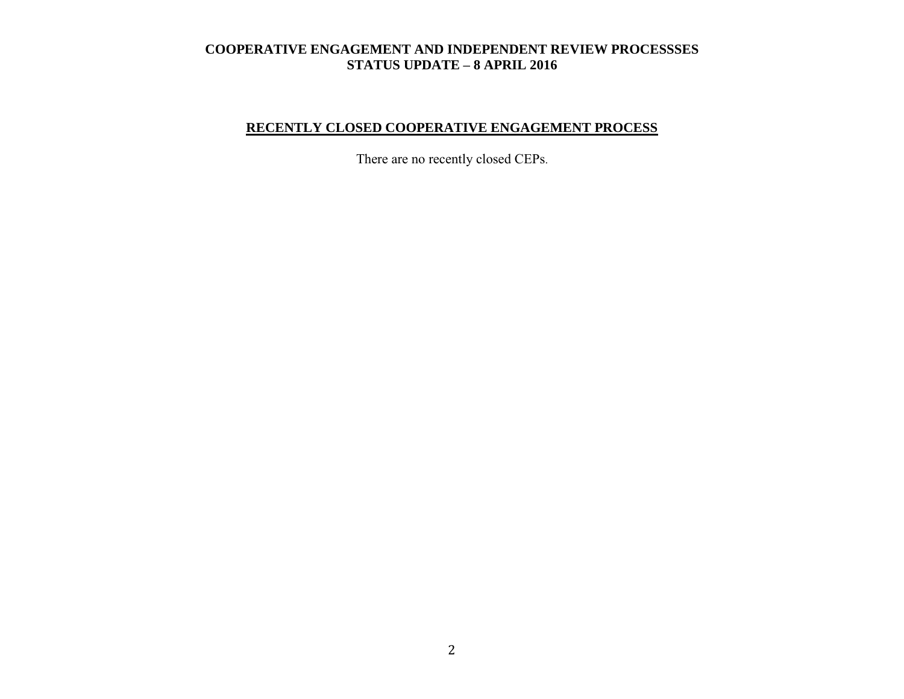# **RECENTLY CLOSED COOPERATIVE ENGAGEMENT PROCESS**

There are no recently closed CEPs.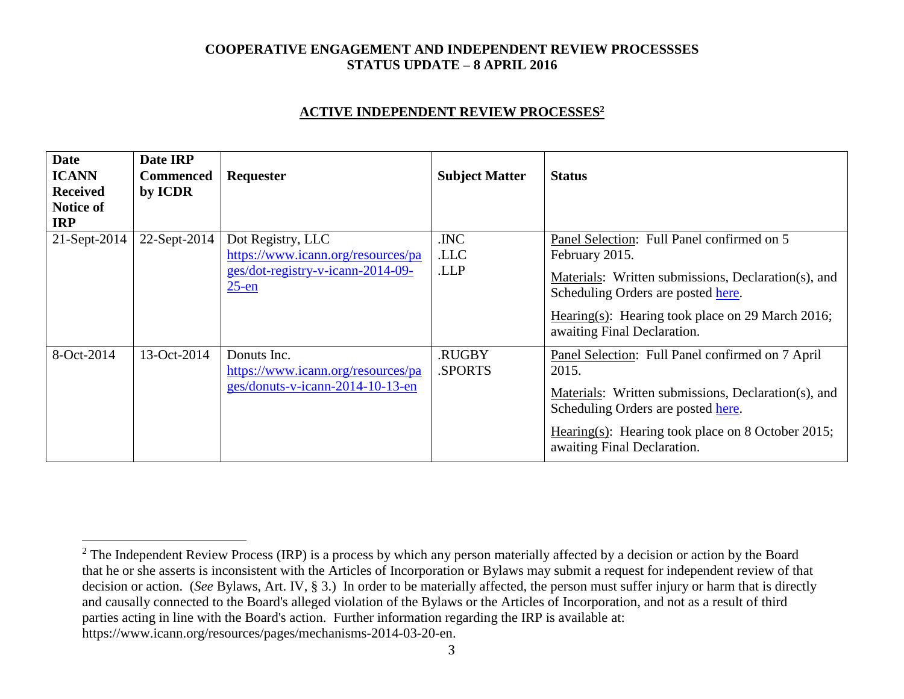#### **ACTIVE INDEPENDENT REVIEW PROCESSES<sup>2</sup>**

| <b>Date</b><br><b>ICANN</b><br><b>Received</b><br>Notice of<br><b>IRP</b> | Date IRP<br><b>Commenced</b><br>by ICDR | Requester                                                                                                | <b>Subject Matter</b> | <b>Status</b>                                                                                                                                                                                                                                |
|---------------------------------------------------------------------------|-----------------------------------------|----------------------------------------------------------------------------------------------------------|-----------------------|----------------------------------------------------------------------------------------------------------------------------------------------------------------------------------------------------------------------------------------------|
| 21-Sept-2014                                                              | 22-Sept-2014                            | Dot Registry, LLC<br>https://www.icann.org/resources/pa<br>ges/dot-registry-v-icann-2014-09-<br>$25$ -en | .INC<br>.LLC<br>.LLP  | Panel Selection: Full Panel confirmed on 5<br>February 2015.<br>Materials: Written submissions, Declaration(s), and<br>Scheduling Orders are posted here.<br>Hearing(s): Hearing took place on 29 March 2016;<br>awaiting Final Declaration. |
| 8-Oct-2014                                                                | 13-Oct-2014                             | Donuts Inc.<br>https://www.icann.org/resources/pa<br>ges/donuts-v-icann-2014-10-13-en                    | .RUGBY<br>.SPORTS     | Panel Selection: Full Panel confirmed on 7 April<br>2015.<br>Materials: Written submissions, Declaration(s), and<br>Scheduling Orders are posted here.<br>Hearing(s): Hearing took place on 8 October 2015;<br>awaiting Final Declaration.   |

 $\overline{a}$ 

<sup>&</sup>lt;sup>2</sup> The Independent Review Process (IRP) is a process by which any person materially affected by a decision or action by the Board that he or she asserts is inconsistent with the Articles of Incorporation or Bylaws may submit a request for independent review of that decision or action. (*See* Bylaws, Art. IV, § 3.) In order to be materially affected, the person must suffer injury or harm that is directly and causally connected to the Board's alleged violation of the Bylaws or the Articles of Incorporation, and not as a result of third parties acting in line with the Board's action. Further information regarding the IRP is available at: https://www.icann.org/resources/pages/mechanisms-2014-03-20-en.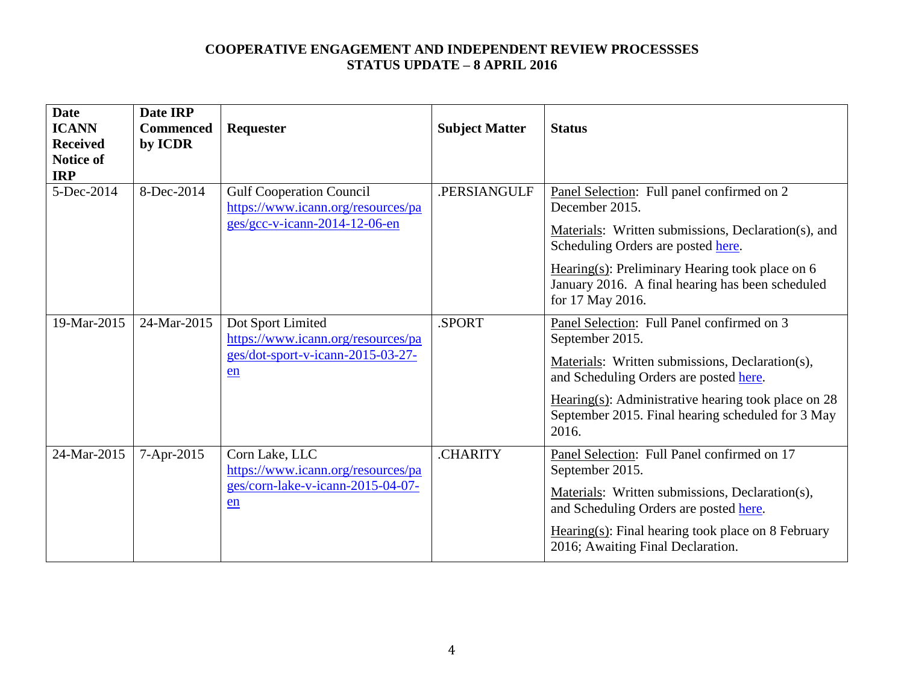| <b>Date</b><br><b>ICANN</b><br><b>Received</b><br><b>Notice of</b><br><b>IRP</b> | Date IRP<br><b>Commenced</b><br>by ICDR | Requester                                                                                              | <b>Subject Matter</b> | <b>Status</b>                                                                                                                                                                                                                                                                            |
|----------------------------------------------------------------------------------|-----------------------------------------|--------------------------------------------------------------------------------------------------------|-----------------------|------------------------------------------------------------------------------------------------------------------------------------------------------------------------------------------------------------------------------------------------------------------------------------------|
| 5-Dec-2014                                                                       | 8-Dec-2014                              | <b>Gulf Cooperation Council</b><br>https://www.icann.org/resources/pa<br>ges/gcc-v-icann-2014-12-06-en | .PERSIANGULF          | Panel Selection: Full panel confirmed on 2<br>December 2015.<br>Materials: Written submissions, Declaration(s), and<br>Scheduling Orders are posted here.<br>Hearing $(s)$ : Preliminary Hearing took place on 6<br>January 2016. A final hearing has been scheduled<br>for 17 May 2016. |
| 19-Mar-2015                                                                      | 24-Mar-2015                             | Dot Sport Limited<br>https://www.icann.org/resources/pa<br>ges/dot-sport-v-icann-2015-03-27-<br>en     | .SPORT                | Panel Selection: Full Panel confirmed on 3<br>September 2015.<br>Materials: Written submissions, Declaration(s),<br>and Scheduling Orders are posted here.<br>Hearing(s): Administrative hearing took place on $28$<br>September 2015. Final hearing scheduled for 3 May<br>2016.        |
| 24-Mar-2015                                                                      | 7-Apr-2015                              | Corn Lake, LLC<br>https://www.icann.org/resources/pa<br>ges/corn-lake-v-icann-2015-04-07-<br>en        | .CHARITY              | Panel Selection: Full Panel confirmed on 17<br>September 2015.<br>Materials: Written submissions, Declaration(s),<br>and Scheduling Orders are posted here.<br>$Hearing(s): Final hearing took place on 8 February$<br>2016; Awaiting Final Declaration.                                 |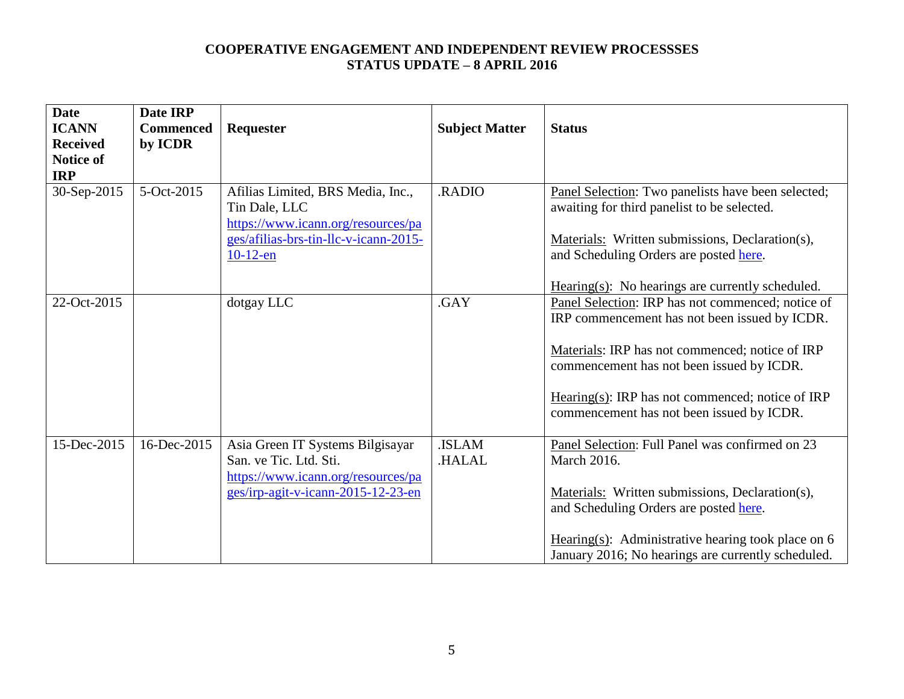| <b>Date</b><br><b>ICANN</b><br><b>Received</b><br>Notice of<br><b>IRP</b> | Date IRP<br><b>Commenced</b><br>by ICDR | Requester                                                                                                                                        | <b>Subject Matter</b>  | <b>Status</b>                                                                                                                                                                                                                                                                                       |
|---------------------------------------------------------------------------|-----------------------------------------|--------------------------------------------------------------------------------------------------------------------------------------------------|------------------------|-----------------------------------------------------------------------------------------------------------------------------------------------------------------------------------------------------------------------------------------------------------------------------------------------------|
| 30-Sep-2015                                                               | 5-Oct-2015                              | Afilias Limited, BRS Media, Inc.,<br>Tin Dale, LLC<br>https://www.icann.org/resources/pa<br>ges/afilias-brs-tin-llc-v-icann-2015-<br>$10-12$ -en | <b>RADIO</b>           | Panel Selection: Two panelists have been selected;<br>awaiting for third panelist to be selected.<br>Materials: Written submissions, Declaration(s),<br>and Scheduling Orders are posted here.<br>$Hearing(s):$ No hearings are currently scheduled.                                                |
| 22-Oct-2015                                                               |                                         | dotgay LLC                                                                                                                                       | .GAY                   | Panel Selection: IRP has not commenced; notice of<br>IRP commencement has not been issued by ICDR.<br>Materials: IRP has not commenced; notice of IRP<br>commencement has not been issued by ICDR.<br>Hearing(s): IRP has not commenced; notice of IRP<br>commencement has not been issued by ICDR. |
| 15-Dec-2015                                                               | 16-Dec-2015                             | Asia Green IT Systems Bilgisayar<br>San. ve Tic. Ltd. Sti.<br>https://www.icann.org/resources/pa<br>ges/irp-agit-v-icann-2015-12-23-en           | <b>ISLAM</b><br>HALAL. | Panel Selection: Full Panel was confirmed on 23<br><b>March 2016.</b><br>Materials: Written submissions, Declaration(s),<br>and Scheduling Orders are posted here.<br>Hearing(s): Administrative hearing took place on $6$<br>January 2016; No hearings are currently scheduled.                    |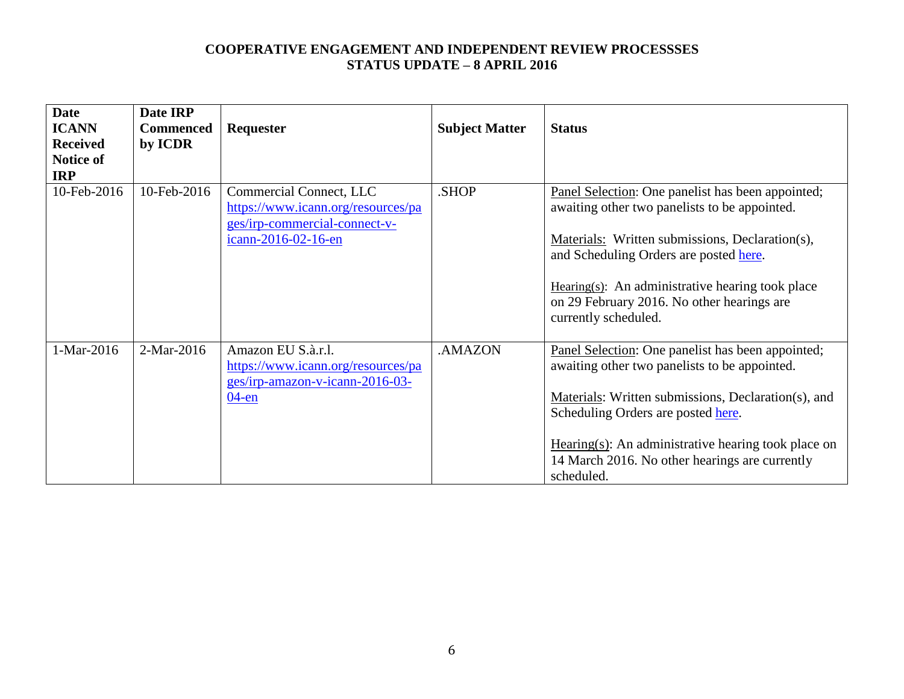| <b>Date</b>                     | Date IRP                    |                                                                                                                       |                       |                                                                                                                                                                                                                                                                                                                                                            |
|---------------------------------|-----------------------------|-----------------------------------------------------------------------------------------------------------------------|-----------------------|------------------------------------------------------------------------------------------------------------------------------------------------------------------------------------------------------------------------------------------------------------------------------------------------------------------------------------------------------------|
| <b>ICANN</b><br><b>Received</b> | <b>Commenced</b><br>by ICDR | Requester                                                                                                             | <b>Subject Matter</b> | <b>Status</b>                                                                                                                                                                                                                                                                                                                                              |
| Notice of                       |                             |                                                                                                                       |                       |                                                                                                                                                                                                                                                                                                                                                            |
| <b>IRP</b>                      |                             |                                                                                                                       |                       |                                                                                                                                                                                                                                                                                                                                                            |
| 10-Feb-2016                     | 10-Feb-2016                 | Commercial Connect, LLC<br>https://www.icann.org/resources/pa<br>ges/irp-commercial-connect-v-<br>icann-2016-02-16-en | SHOP.                 | Panel Selection: One panelist has been appointed;<br>awaiting other two panelists to be appointed.<br>Materials: Written submissions, Declaration(s),<br>and Scheduling Orders are posted here.<br>Hearing(s): An administrative hearing took place<br>on 29 February 2016. No other hearings are<br>currently scheduled.                                  |
| 1-Mar-2016                      | 2-Mar-2016                  | Amazon EU S.à.r.l.<br>https://www.icann.org/resources/pa<br>ges/irp-amazon-v-icann-2016-03-<br>$04$ -en               | .AMAZON               | Panel Selection: One panelist has been appointed;<br>awaiting other two panelists to be appointed.<br>Materials: Written submissions, Declaration(s), and<br>Scheduling Orders are posted here.<br>$\frac{\text{Hearing}(s)}{\text{Hearing}(s)}$ : An administrative hearing took place on<br>14 March 2016. No other hearings are currently<br>scheduled. |